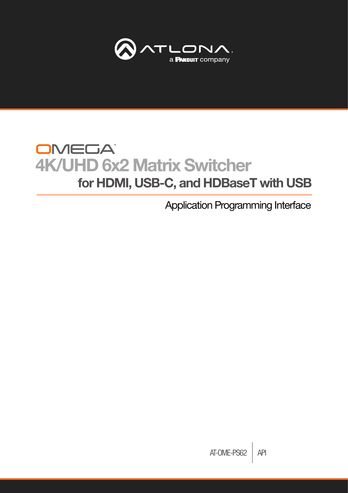

# **OMEGA** 4K/UHD 6x2 Matrix Switcher for HDMI, USB-C, and HDBaseT with USB

Application Programming Interface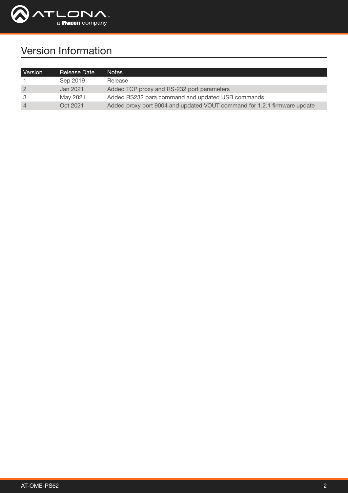

## Version Information

| Version | Release Date | Notes                                                                    |
|---------|--------------|--------------------------------------------------------------------------|
|         | Sep 2019     | Release                                                                  |
|         | Jan 2021     | Added TCP proxy and RS-232 port parameters                               |
|         | May 2021     | Added RS232 para command and updated USB commands                        |
|         | Oct 2021     | Added proxy port 9004 and updated VOUT command for 1.2.1 firmware update |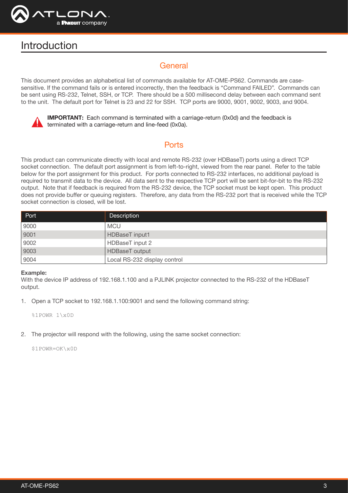

## Introduction

## **General**

This document provides an alphabetical list of commands available for AT-OME-PS62. Commands are casesensitive. If the command fails or is entered incorrectly, then the feedback is "Command FAILED". Commands can be sent using RS-232, Telnet, SSH, or TCP. There should be a 500 millisecond delay between each command sent to the unit. The default port for Telnet is 23 and 22 for SSH. TCP ports are 9000, 9001, 9002, 9003, and 9004.



**IMPORTANT:** Each command is terminated with a carriage-return (0x0d) and the feedback is terminated with a carriage-return and line-feed (0x0a).

## **Ports**

This product can communicate directly with local and remote RS-232 (over HDBaseT) ports using a direct TCP socket connection. The default port assignment is from left-to-right, viewed from the rear panel. Refer to the table below for the port assignment for this product. For ports connected to RS-232 interfaces, no additional payload is required to transmit data to the device. All data sent to the respective TCP port will be sent bit-for-bit to the RS-232 output. Note that if feedback is required from the RS-232 device, the TCP socket must be kept open. This product does not provide buffer or queuing registers. Therefore, any data from the RS-232 port that is received while the TCP socket connection is closed, will be lost.

| Port | <b>Description</b>           |
|------|------------------------------|
| 9000 | <b>MCU</b>                   |
| 9001 | HDBaseT input1               |
| 9002 | HDBaseT input 2              |
| 9003 | HDBaseT output               |
| 9004 | Local RS-232 display control |

#### Example:

With the device IP address of 192.168.1.100 and a PJLINK projector connected to the RS-232 of the HDBaseT output.

1. Open a TCP socket to 192.168.1.100:9001 and send the following command string:

%1POWR 1\x0D

2. The projector will respond with the following, using the same socket connection:

\$1POWR=OK\x0D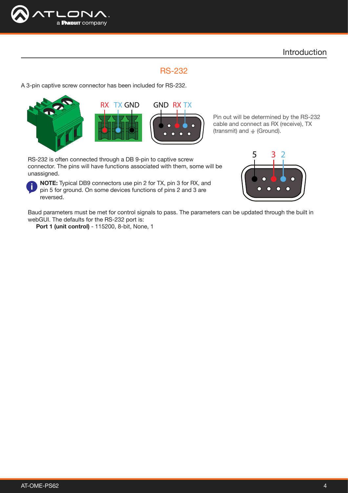

## RS-232

A 3-pin captive screw connector has been included for RS-232.







Pin out will be determined by the RS-232 cable and connect as RX (receive), TX (transmit) and  $\pm$  (Ground).

RS-232 is often connected through a DB 9-pin to captive screw connector. The pins will have functions associated with them, some will be unassigned.

NOTE: Typical DB9 connectors use pin 2 for TX, pin 3 for RX, and pin 5 for ground. On some devices functions of pins 2 and 3 are reversed.



Baud parameters must be met for control signals to pass. The parameters can be updated through the built in webGUI. The defaults for the RS-232 port is:

Port 1 (unit control) - 115200, 8-bit, None, 1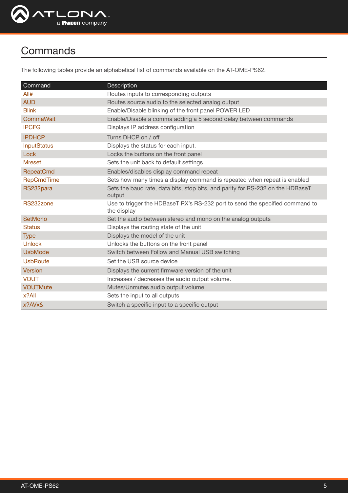

## **Commands**

The following tables provide an alphabetical list of commands available on the AT-OME-PS62.

| Command            | Description                                                                                 |
|--------------------|---------------------------------------------------------------------------------------------|
| All#               | Routes inputs to corresponding outputs                                                      |
| <b>AUD</b>         | Routes source audio to the selected analog output                                           |
| <b>Blink</b>       | Enable/Disable blinking of the front panel POWER LED                                        |
| CommaWait          | Enable/Disable a comma adding a 5 second delay between commands                             |
| <b>IPCFG</b>       | Displays IP address configuration                                                           |
| <b>IPDHCP</b>      | Turns DHCP on / off                                                                         |
| <b>InputStatus</b> | Displays the status for each input.                                                         |
| Lock               | Locks the buttons on the front panel                                                        |
| <b>Mreset</b>      | Sets the unit back to default settings                                                      |
| <b>RepeatCmd</b>   | Enables/disables display command repeat                                                     |
| <b>RepCmdTime</b>  | Sets how many times a display command is repeated when repeat is enabled                    |
| RS232para          | Sets the baud rate, data bits, stop bits, and parity for RS-232 on the HDBaseT<br>output    |
| RS232zone          | Use to trigger the HDBaseT RX's RS-232 port to send the specified command to<br>the display |
| <b>SetMono</b>     | Set the audio between stereo and mono on the analog outputs                                 |
| <b>Status</b>      | Displays the routing state of the unit                                                      |
| <b>Type</b>        | Displays the model of the unit                                                              |
| <b>Unlock</b>      | Unlocks the buttons on the front panel                                                      |
| <b>UsbMode</b>     | Switch between Follow and Manual USB switching                                              |
| <b>UsbRoute</b>    | Set the USB source device                                                                   |
| Version            | Displays the current firmware version of the unit                                           |
| <b>VOUT</b>        | Increases / decreases the audio output volume.                                              |
| <b>VOUTMute</b>    | Mutes/Unmutes audio output volume                                                           |
| $x?$ All           | Sets the input to all outputs                                                               |
| x?AVx&             | Switch a specific input to a specific output                                                |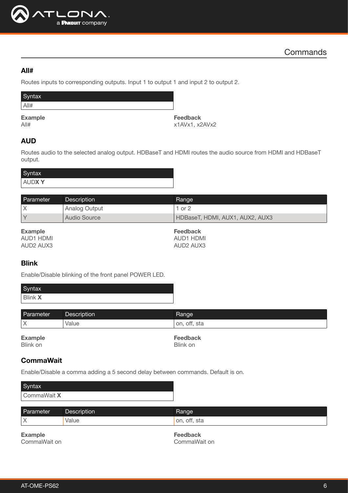

#### <span id="page-5-0"></span>All#

Routes inputs to corresponding outputs. Input 1 to output 1 and input 2 to output 2.

| Syntax         |  |
|----------------|--|
| All#           |  |
| <b>Example</b> |  |

All#

Feedback x1AVx1, x2AVx2

## <span id="page-5-1"></span>AUD

Routes audio to the selected analog output. HDBaseT and HDMI routes the audio source from HDMI and HDBaseT output.

| Syntax                       |  |
|------------------------------|--|
| $\checkmark$<br><b>AUDXY</b> |  |

| Parameter      | Description   | Range                           |
|----------------|---------------|---------------------------------|
|                | Analog Output | 1 or $2$                        |
|                | Audio Source  | HDBaseT, HDMI, AUX1, AUX2, AUX3 |
| <b>Example</b> |               | <b>Feedback</b>                 |

AUD1 HDMI AUD2 AUX3

Feedback AUD1 HDMI AUD2 AUX3

## <span id="page-5-2"></span>Blink

Enable/Disable blinking of the front panel POWER LED.

| Parameter | <b>Description</b> | Range        |
|-----------|--------------------|--------------|
| . v<br>∧  | Value              | on, off, sta |
|           |                    |              |

Example Blink on

Feedback Blink on

## <span id="page-5-3"></span>**CommaWait**

Enable/Disable a comma adding a 5 second delay between commands. Default is on.

| Syntax      |             |       |  |
|-------------|-------------|-------|--|
| CommaWait X |             |       |  |
|             |             |       |  |
| Parameter   | Description | Range |  |

|               | .                             | .            |
|---------------|-------------------------------|--------------|
| $\mathcal{N}$ | Value<br>$\sim$ $\sim$ $\sim$ | on, off, sta |
|               |                               |              |

Example CommaWait on Feedback CommaWait on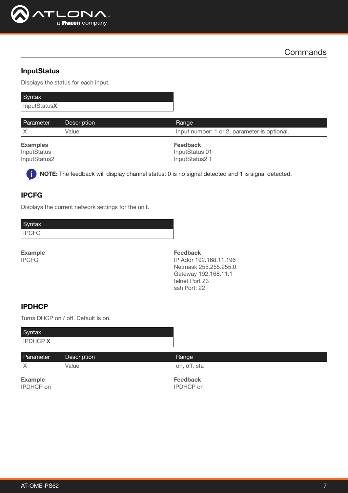

#### <span id="page-6-2"></span>**InputStatus**

Displays the status for each input.

| Syntax       |  |
|--------------|--|
| InputStatusX |  |

| <b>Parameter</b> | <b>Description</b> | Range                                        |
|------------------|--------------------|----------------------------------------------|
|                  | Value              | Input number: 1 or 2, parameter is optional. |
| <b>Examples</b>  |                    | Feedback                                     |

InputStatus InputStatus2

Feedback InputStatus 01 InputStatus2 1

NOTE: The feedback will display channel status: 0 is no signal detected and 1 is signal detected.

## <span id="page-6-0"></span>IPCFG

j.

Displays the current network settings for the unit.

**Syntax** IPCFG

Example IPCFG

Feedback IP Addr 192.168.11.196 Netmask 255.255.255.0 Gateway 192.168.11.1 telnet Port 23 ssh Port: 22

#### <span id="page-6-1"></span>IPDHCP

Turns DHCP on / off. Default is on.

| Syntax         |  |
|----------------|--|
| <b>IPDHCPX</b> |  |

| Parameter | Description | Range        |
|-----------|-------------|--------------|
| IΧ        | Value       | on, off, sta |
|           |             |              |

Example IPDHCP on Feedback IPDHCP on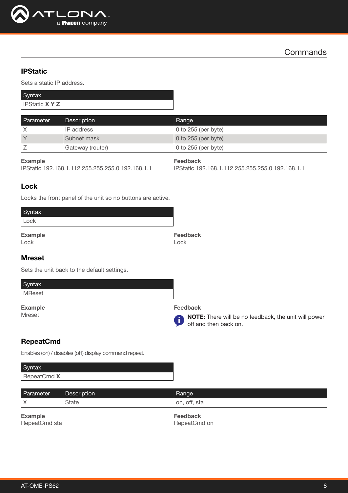

#### **IPStatic**

Sets a static IP address.

| Syntax              |  |
|---------------------|--|
| <b>IPStatic XYZ</b> |  |

| Parameter         | <b>Description</b> | Range                       |
|-------------------|--------------------|-----------------------------|
|                   | IP address         | $\vert$ 0 to 255 (per byte) |
| $\overline{\vee}$ | Subnet mask        | $\vert$ 0 to 255 (per byte) |
|                   | Gateway (router)   | 0 to $255$ (per byte)       |

#### Example

IPStatic 192.168.1.112 255.255.255.0 192.168.1.1

Feedback

IPStatic 192.168.1.112 255.255.255.0 192.168.1.1

#### <span id="page-7-0"></span>Lock

Locks the front panel of the unit so no buttons are active.

| Syntax         |                 |
|----------------|-----------------|
| Lock           |                 |
| <b>Example</b> | <b>Feedback</b> |
| Lock           | Lock            |

#### <span id="page-7-1"></span>Mreset

Sets the unit back to the default settings.

| Syntax |
|--------|
| MReset |
|        |

Example Mreset



NOTE: There will be no feedback, the unit will power off and then back on.

## <span id="page-7-2"></span>RepeatCmd

Enables (on) / disables (off) display command repeat.

#### **Syntax** RepeatCmd X

| Parameter   | Description  | Kange           |
|-------------|--------------|-----------------|
| $\vee$<br>⌒ | <b>State</b> | off, sta<br>on. |

Example RepeatCmd sta Feedback RepeatCmd on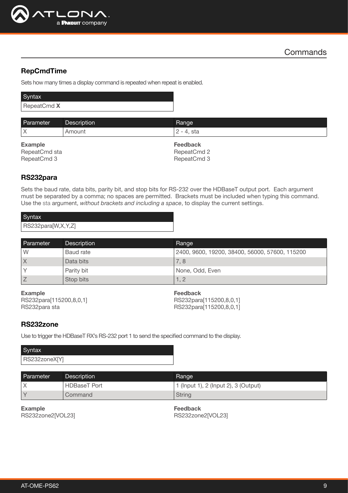

## <span id="page-8-0"></span>RepCmdTime

Sets how many times a display command is repeated when repeat is enabled.

| Syntax      |
|-------------|
| RepeatCmd X |
|             |

| Parameter      | <b>Description</b> | Range           |
|----------------|--------------------|-----------------|
|                | Amount             | l 2 - 4. sta    |
|                |                    |                 |
| <b>Example</b> |                    | <b>Feedback</b> |
| RepeatCmd sta  |                    | RepeatCmd 2     |

## <span id="page-8-1"></span>RS232para

Sets the baud rate, data bits, parity bit, and stop bits for RS-232 over the HDBaseT output port. Each argument must be separated by a comma; no spaces are permitted. Brackets must be included when typing this command. Use the sta argument, *without brackets and including a space*, to display the current settings.

| Syntax             |  |
|--------------------|--|
| RS232para[W,X,Y,Z] |  |

| Parameter | Description | Range                                          |
|-----------|-------------|------------------------------------------------|
| W         | Baud rate   | 2400, 9600, 19200, 38400, 56000, 57600, 115200 |
|           | Data bits   | 7.8                                            |
|           | Parity bit  | None, Odd, Even                                |
|           | Stop bits   | 1.2                                            |

## Example

RS232para[115200,8,0,1] RS232para sta

#### Feedback

RS232para[115200,8,0,1] RS232para[115200,8,0,1]

#### <span id="page-8-2"></span>RS232zone

Use to trigger the HDBaseT RX's RS-232 port 1 to send the specified command to the display.

| Syntax        |  |
|---------------|--|
| RS232zoneX[Y] |  |

| Parameter         | Description         | <b>Hange</b>                         |
|-------------------|---------------------|--------------------------------------|
|                   | <b>HDBaseT</b> Port | 1 (Input 1), 2 (Input 2), 3 (Output) |
| $\overline{\vee}$ | Command             | <b>String</b>                        |

Example RS232zone2[VOL23] Feedback RS232zone2[VOL23]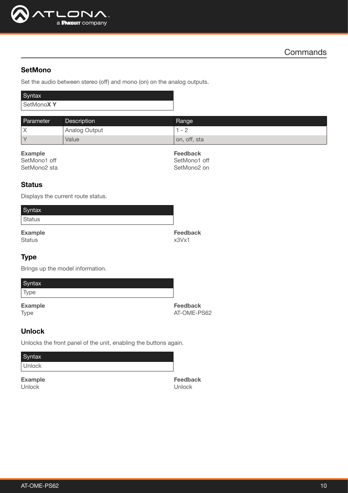

### <span id="page-9-0"></span>**SetMono**

Set the audio between stereo (off) and mono (on) on the analog outputs.

| Syntax    |  |
|-----------|--|
| SetMonoXY |  |

| Parameter         | <b>Description</b> | Range                    |
|-------------------|--------------------|--------------------------|
| Χ                 | Analog Output      | $\overline{\phantom{a}}$ |
| $\overline{\vee}$ | Value              | on, off, sta             |

#### Example

| SetMono1 off |  |
|--------------|--|
| SetMono2 sta |  |

Feedback SetMono1 off SetMono2 on

#### <span id="page-9-1"></span>**Status**

Displays the current route status.

| Syntax         |                 |
|----------------|-----------------|
| <b>Status</b>  |                 |
| <b>Example</b> | <b>Feedback</b> |
| <b>Status</b>  | x3Vx1           |

#### <span id="page-9-2"></span>**Type**

Brings up the model information.

| Syntax |                                  |
|--------|----------------------------------|
| Type   |                                  |
|        | $\Gamma$ is a subset of $\Gamma$ |

Example Type

Feedback AT-OME-PS62

## <span id="page-9-3"></span>Unlock

Unlocks the front panel of the unit, enabling the buttons again.

| Syntax         |                 |
|----------------|-----------------|
| <b>Unlock</b>  |                 |
| <b>Example</b> | <b>Feedback</b> |
| Unlock         | Unlock          |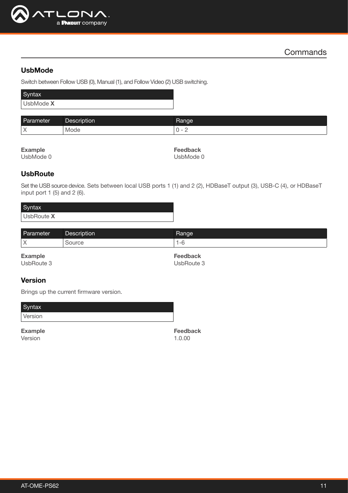

## <span id="page-10-0"></span>UsbMode

Switch between Follow USB (0), Manual (1), and Follow Video (2) USB switching.

| Syntax    |  |
|-----------|--|
| UsbMode X |  |

| Paran<br>lmeter.              | Description | Range                                     |
|-------------------------------|-------------|-------------------------------------------|
| $\checkmark$<br>$\rightarrow$ | <b>Mode</b> | $\overline{\phantom{a}}$<br>ັ<br><u>_</u> |

Example

UsbMode 0

Feedback UsbMode 0

## <span id="page-10-1"></span>**UsbRoute**

Set the USB source device. Sets between local USB ports 1 (1) and 2 (2), HDBaseT output (3), USB-C (4), or HDBaseT input port 1 (5) and 2 (6).

| Syntax     |  |
|------------|--|
| UsbRoute X |  |

| Parameter    | <b>Description</b> | Range |
|--------------|--------------------|-------|
| $\checkmark$ | `ourc∈             | $-c$  |
|              |                    |       |

Example UsbRoute 3 Feedback UsbRoute 3

## <span id="page-10-2"></span>Version

Brings up the current firmware version.

Syntax Version

Example Version

Feedback 1.0.00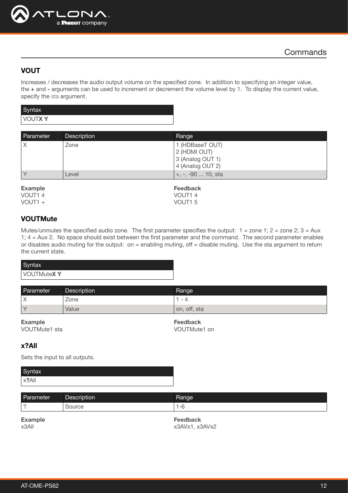

## <span id="page-11-0"></span>VOUT

Increases / decreases the audio output volume on the specified zone. In addition to specifying an integer value, the + and - arguments can be used to increment or decrement the volume level by 1. To display the current value, specify the sta argument.

| Syntax        |  |
|---------------|--|
| <b>VOUTXY</b> |  |

| Parameter | <b>Description</b> | Range              |
|-----------|--------------------|--------------------|
| Χ         | Zone               | 1 (HDBaseT OUT)    |
|           |                    | 2 (HDMI OUT)       |
|           |                    | 3 (Analog OUT 1)   |
|           |                    | 4 (Analog OUT 2)   |
|           | Level              | +, -, -90  10, sta |

Example VOUT1 4

VOUT1 +

Feedback VOUT1 4 VOUT1 5

## <span id="page-11-1"></span>**VOUTMute**

Mutes/unmutes the specified audio zone. The first parameter specifies the output:  $1 =$  zone  $1$ ;  $2 =$  zone  $2$ ;  $3 =$  Aux 1; 4 = Aux 2. No space should exist between the first parameter and the command. The second parameter enables or disables audio muting for the output: on = enabling muting, off = disable muting. Use the sta argument to return the current state.

| Syntax            |  |
|-------------------|--|
| <b>VOUTMuteXY</b> |  |

| Parameter                  | Description | Range        |
|----------------------------|-------------|--------------|
| $\checkmark$<br>$\sqrt{2}$ | Zone        | $\sim$       |
| $\mathcal{N}$              | Value       | on, off, sta |

| <b>Example</b> |  |  |
|----------------|--|--|
| VOUTMute1 sta  |  |  |

Feedback VOUTMute1 on

## <span id="page-11-2"></span>x?All

Sets the input to all outputs.

| Syntax   |  |
|----------|--|
| $x?$ All |  |

| Parameter               | <b>Description</b> | Range                     |
|-------------------------|--------------------|---------------------------|
|                         | Source             | $1 - 6$                   |
| <b>Example</b><br>x3AlI |                    | Feedback<br>x3AVx1.x3AVx2 |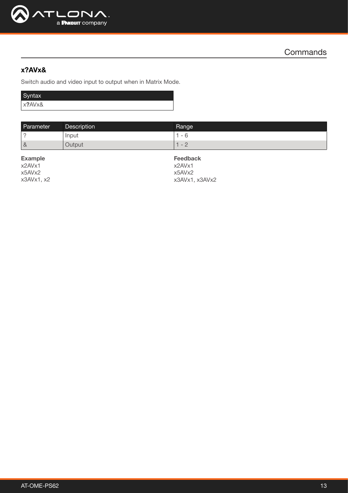

## <span id="page-12-0"></span>x?AVx&

Switch audio and video input to output when in Matrix Mode.

| Syntax |  |
|--------|--|
| x?AVx& |  |

| Parameter | Description | <b>Range</b>         |
|-----------|-------------|----------------------|
|           | Input       | $\sim$               |
| 8         | Output      | $\sim$<br>$\sqrt{2}$ |

Example x2AVx1 x5AVx2 x3AVx1, x2

Feedback x2AVx1 x5AVx2 x3AVx1, x3AVx2